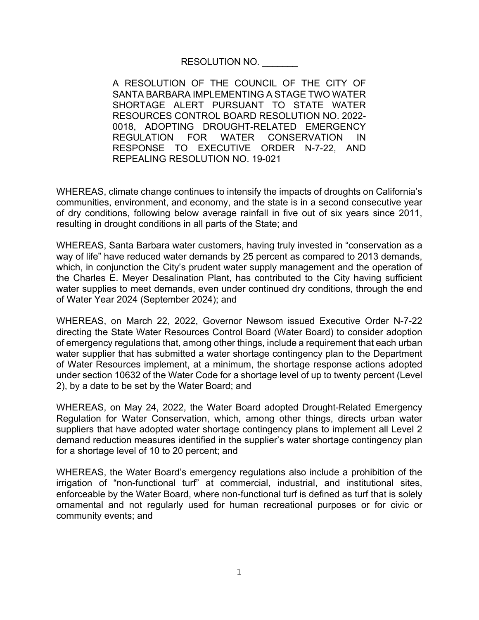## RESOLUTION NO.

A RESOLUTION OF THE COUNCIL OF THE CITY OF SANTA BARBARA IMPLEMENTING A STAGE TWO WATER SHORTAGE ALERT PURSUANT TO STATE WATER RESOURCES CONTROL BOARD RESOLUTION NO. 2022- 0018, ADOPTING DROUGHT-RELATED EMERGENCY REGULATION FOR WATER CONSERVATION IN RESPONSE TO EXECUTIVE ORDER N-7-22, AND REPEALING RESOLUTION NO. 19-021

WHEREAS, climate change continues to intensify the impacts of droughts on California's communities, environment, and economy, and the state is in a second consecutive year of dry conditions, following below average rainfall in five out of six years since 2011, resulting in drought conditions in all parts of the State; and

WHEREAS, Santa Barbara water customers, having truly invested in "conservation as a way of life" have reduced water demands by 25 percent as compared to 2013 demands, which, in conjunction the City's prudent water supply management and the operation of the Charles E. Meyer Desalination Plant, has contributed to the City having sufficient water supplies to meet demands, even under continued dry conditions, through the end of Water Year 2024 (September 2024); and

WHEREAS, on March 22, 2022, Governor Newsom issued Executive Order N-7-22 directing the State Water Resources Control Board (Water Board) to consider adoption of emergency regulations that, among other things, include a requirement that each urban water supplier that has submitted a water shortage contingency plan to the Department of Water Resources implement, at a minimum, the shortage response actions adopted under section 10632 of the Water Code for a shortage level of up to twenty percent (Level 2), by a date to be set by the Water Board; and

WHEREAS, on May 24, 2022, the Water Board adopted Drought-Related Emergency Regulation for Water Conservation, which, among other things, directs urban water suppliers that have adopted water shortage contingency plans to implement all Level 2 demand reduction measures identified in the supplier's water shortage contingency plan for a shortage level of 10 to 20 percent; and

WHEREAS, the Water Board's emergency regulations also include a prohibition of the irrigation of "non-functional turf" at commercial, industrial, and institutional sites, enforceable by the Water Board, where non-functional turf is defined as turf that is solely ornamental and not regularly used for human recreational purposes or for civic or community events; and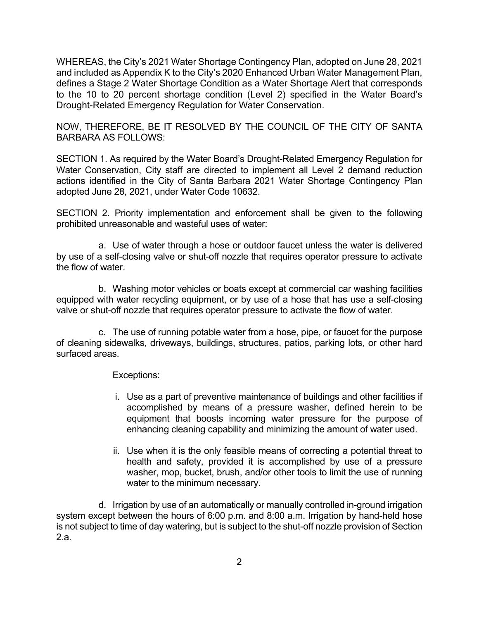WHEREAS, the City's 2021 Water Shortage Contingency Plan, adopted on June 28, 2021 and included as Appendix K to the City's 2020 Enhanced Urban Water Management Plan, defines a Stage 2 Water Shortage Condition as a Water Shortage Alert that corresponds to the 10 to 20 percent shortage condition (Level 2) specified in the Water Board's Drought-Related Emergency Regulation for Water Conservation.

NOW, THEREFORE, BE IT RESOLVED BY THE COUNCIL OF THE CITY OF SANTA BARBARA AS FOLLOWS:

SECTION 1. As required by the Water Board's Drought-Related Emergency Regulation for Water Conservation, City staff are directed to implement all Level 2 demand reduction actions identified in the City of Santa Barbara 2021 Water Shortage Contingency Plan adopted June 28, 2021, under Water Code 10632.

SECTION 2. Priority implementation and enforcement shall be given to the following prohibited unreasonable and wasteful uses of water:

a. Use of water through a hose or outdoor faucet unless the water is delivered by use of a self-closing valve or shut-off nozzle that requires operator pressure to activate the flow of water.

b. Washing motor vehicles or boats except at commercial car washing facilities equipped with water recycling equipment, or by use of a hose that has use a self-closing valve or shut-off nozzle that requires operator pressure to activate the flow of water.

c. The use of running potable water from a hose, pipe, or faucet for the purpose of cleaning sidewalks, driveways, buildings, structures, patios, parking lots, or other hard surfaced areas.

Exceptions:

- i. Use as a part of preventive maintenance of buildings and other facilities if accomplished by means of a pressure washer, defined herein to be equipment that boosts incoming water pressure for the purpose of enhancing cleaning capability and minimizing the amount of water used.
- ii. Use when it is the only feasible means of correcting a potential threat to health and safety, provided it is accomplished by use of a pressure washer, mop, bucket, brush, and/or other tools to limit the use of running water to the minimum necessary.

d. Irrigation by use of an automatically or manually controlled in-ground irrigation system except between the hours of 6:00 p.m. and 8:00 a.m. Irrigation by hand-held hose is not subject to time of day watering, but is subject to the shut-off nozzle provision of Section 2.a.